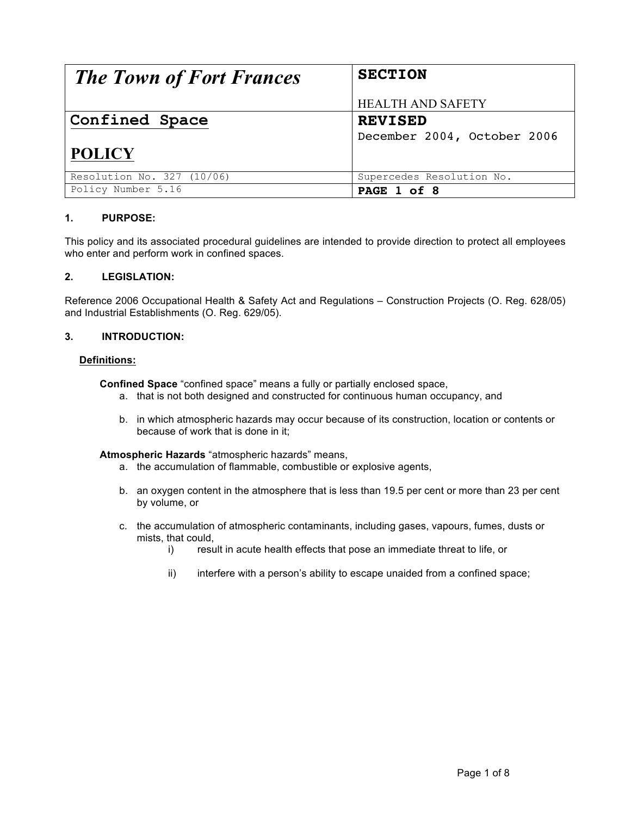| <b>The Town of Fort Frances</b> | <b>SECTION</b>              |  |
|---------------------------------|-----------------------------|--|
|                                 | <b>HEALTH AND SAFETY</b>    |  |
| Confined Space                  | <b>REVISED</b>              |  |
|                                 | December 2004, October 2006 |  |
| <b>POLICY</b>                   |                             |  |
| Resolution No. 327 (10/06)      | Supercedes Resolution No.   |  |
| Policy Number 5.16              | PAGE 1 of 8                 |  |

# **1. PURPOSE:**

This policy and its associated procedural guidelines are intended to provide direction to protect all employees who enter and perform work in confined spaces.

# **2. LEGISLATION:**

Reference 2006 Occupational Health & Safety Act and Regulations – Construction Projects (O. Reg. 628/05) and Industrial Establishments (O. Reg. 629/05).

# **3. INTRODUCTION:**

# **Definitions:**

**Confined Space** "confined space" means a fully or partially enclosed space,

- a. that is not both designed and constructed for continuous human occupancy, and
- b. in which atmospheric hazards may occur because of its construction, location or contents or because of work that is done in it;

# **Atmospheric Hazards** "atmospheric hazards" means,

- a. the accumulation of flammable, combustible or explosive agents,
- b. an oxygen content in the atmosphere that is less than 19.5 per cent or more than 23 per cent by volume, or
- c. the accumulation of atmospheric contaminants, including gases, vapours, fumes, dusts or mists, that could,
	- i) result in acute health effects that pose an immediate threat to life, or
	- ii) interfere with a person's ability to escape unaided from a confined space;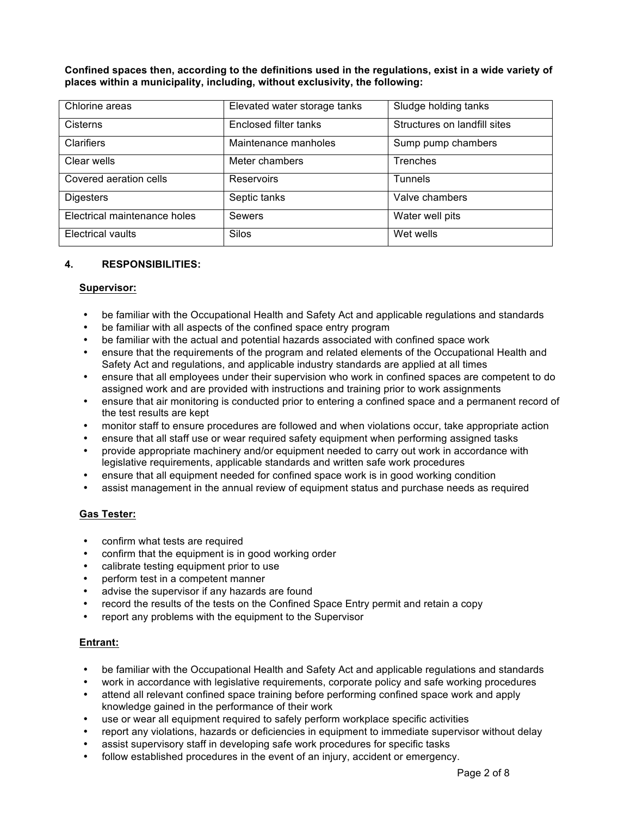**Confined spaces then, according to the definitions used in the regulations, exist in a wide variety of places within a municipality, including, without exclusivity, the following:**

| Chlorine areas               | Elevated water storage tanks | Sludge holding tanks         |
|------------------------------|------------------------------|------------------------------|
| <b>Cisterns</b>              | Enclosed filter tanks        | Structures on landfill sites |
| <b>Clarifiers</b>            | Maintenance manholes         | Sump pump chambers           |
| Clear wells                  | Meter chambers               | Trenches                     |
| Covered aeration cells       | Reservoirs                   | <b>Tunnels</b>               |
| <b>Digesters</b>             | Septic tanks                 | Valve chambers               |
| Electrical maintenance holes | <b>Sewers</b>                | Water well pits              |
| <b>Electrical vaults</b>     | Silos                        | Wet wells                    |

# **4. RESPONSIBILITIES:**

# **Supervisor:**

- be familiar with the Occupational Health and Safety Act and applicable regulations and standards
- be familiar with all aspects of the confined space entry program
- be familiar with the actual and potential hazards associated with confined space work
- ensure that the requirements of the program and related elements of the Occupational Health and Safety Act and regulations, and applicable industry standards are applied at all times
- ensure that all employees under their supervision who work in confined spaces are competent to do assigned work and are provided with instructions and training prior to work assignments
- ensure that air monitoring is conducted prior to entering a confined space and a permanent record of the test results are kept
- monitor staff to ensure procedures are followed and when violations occur, take appropriate action
- ensure that all staff use or wear required safety equipment when performing assigned tasks
- provide appropriate machinery and/or equipment needed to carry out work in accordance with legislative requirements, applicable standards and written safe work procedures
- ensure that all equipment needed for confined space work is in good working condition
- assist management in the annual review of equipment status and purchase needs as required

# **Gas Tester:**

- confirm what tests are required
- confirm that the equipment is in good working order
- calibrate testing equipment prior to use
- perform test in a competent manner
- advise the supervisor if any hazards are found
- record the results of the tests on the Confined Space Entry permit and retain a copy
- report any problems with the equipment to the Supervisor

# **Entrant:**

- be familiar with the Occupational Health and Safety Act and applicable regulations and standards
- work in accordance with legislative requirements, corporate policy and safe working procedures
- attend all relevant confined space training before performing confined space work and apply knowledge gained in the performance of their work
- use or wear all equipment required to safely perform workplace specific activities
- report any violations, hazards or deficiencies in equipment to immediate supervisor without delay
- assist supervisory staff in developing safe work procedures for specific tasks
- follow established procedures in the event of an injury, accident or emergency.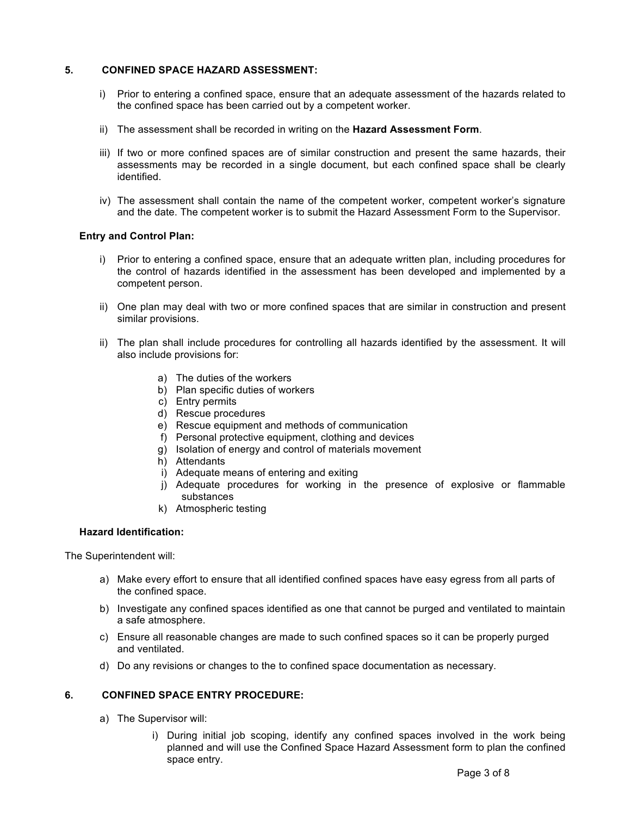# **5. CONFINED SPACE HAZARD ASSESSMENT:**

- i) Prior to entering a confined space, ensure that an adequate assessment of the hazards related to the confined space has been carried out by a competent worker.
- ii) The assessment shall be recorded in writing on the **Hazard Assessment Form**.
- iii) If two or more confined spaces are of similar construction and present the same hazards, their assessments may be recorded in a single document, but each confined space shall be clearly identified.
- iv) The assessment shall contain the name of the competent worker, competent worker's signature and the date. The competent worker is to submit the Hazard Assessment Form to the Supervisor.

# **Entry and Control Plan:**

- i) Prior to entering a confined space, ensure that an adequate written plan, including procedures for the control of hazards identified in the assessment has been developed and implemented by a competent person.
- ii) One plan may deal with two or more confined spaces that are similar in construction and present similar provisions.
- ii) The plan shall include procedures for controlling all hazards identified by the assessment. It will also include provisions for:
	- a) The duties of the workers
	- b) Plan specific duties of workers
	- c) Entry permits
	- d) Rescue procedures
	- e) Rescue equipment and methods of communication
	- f) Personal protective equipment, clothing and devices
	- g) Isolation of energy and control of materials movement
	- h) Attendants
	- i) Adequate means of entering and exiting
	- j) Adequate procedures for working in the presence of explosive or flammable substances
	- k) Atmospheric testing

# **Hazard Identification:**

The Superintendent will:

- a) Make every effort to ensure that all identified confined spaces have easy egress from all parts of the confined space.
- b) Investigate any confined spaces identified as one that cannot be purged and ventilated to maintain a safe atmosphere.
- c) Ensure all reasonable changes are made to such confined spaces so it can be properly purged and ventilated.
- d) Do any revisions or changes to the to confined space documentation as necessary.

# **6. CONFINED SPACE ENTRY PROCEDURE:**

- a) The Supervisor will:
	- i) During initial job scoping, identify any confined spaces involved in the work being planned and will use the Confined Space Hazard Assessment form to plan the confined space entry.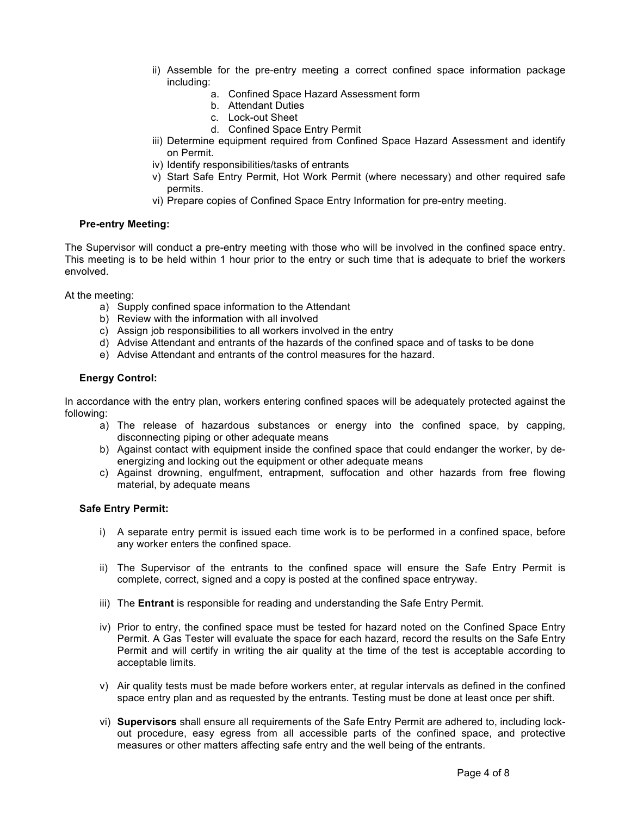- ii) Assemble for the pre-entry meeting a correct confined space information package including:
	- a. Confined Space Hazard Assessment form
	- b. Attendant Duties
	- c. Lock-out Sheet
	- d. Confined Space Entry Permit
- iii) Determine equipment required from Confined Space Hazard Assessment and identify on Permit.
- iv) Identify responsibilities/tasks of entrants
- v) Start Safe Entry Permit, Hot Work Permit (where necessary) and other required safe permits.
- vi) Prepare copies of Confined Space Entry Information for pre-entry meeting.

# **Pre-entry Meeting:**

The Supervisor will conduct a pre-entry meeting with those who will be involved in the confined space entry. This meeting is to be held within 1 hour prior to the entry or such time that is adequate to brief the workers envolved.

At the meeting:

- a) Supply confined space information to the Attendant
- b) Review with the information with all involved
- c) Assign job responsibilities to all workers involved in the entry
- d) Advise Attendant and entrants of the hazards of the confined space and of tasks to be done
- e) Advise Attendant and entrants of the control measures for the hazard.

# **Energy Control:**

In accordance with the entry plan, workers entering confined spaces will be adequately protected against the following:

- a) The release of hazardous substances or energy into the confined space, by capping, disconnecting piping or other adequate means
- b) Against contact with equipment inside the confined space that could endanger the worker, by deenergizing and locking out the equipment or other adequate means
- c) Against drowning, engulfment, entrapment, suffocation and other hazards from free flowing material, by adequate means

# **Safe Entry Permit:**

- i) A separate entry permit is issued each time work is to be performed in a confined space, before any worker enters the confined space.
- ii) The Supervisor of the entrants to the confined space will ensure the Safe Entry Permit is complete, correct, signed and a copy is posted at the confined space entryway.
- iii) The **Entrant** is responsible for reading and understanding the Safe Entry Permit.
- iv) Prior to entry, the confined space must be tested for hazard noted on the Confined Space Entry Permit. A Gas Tester will evaluate the space for each hazard, record the results on the Safe Entry Permit and will certify in writing the air quality at the time of the test is acceptable according to acceptable limits.
- v) Air quality tests must be made before workers enter, at regular intervals as defined in the confined space entry plan and as requested by the entrants. Testing must be done at least once per shift.
- vi) **Supervisors** shall ensure all requirements of the Safe Entry Permit are adhered to, including lockout procedure, easy egress from all accessible parts of the confined space, and protective measures or other matters affecting safe entry and the well being of the entrants.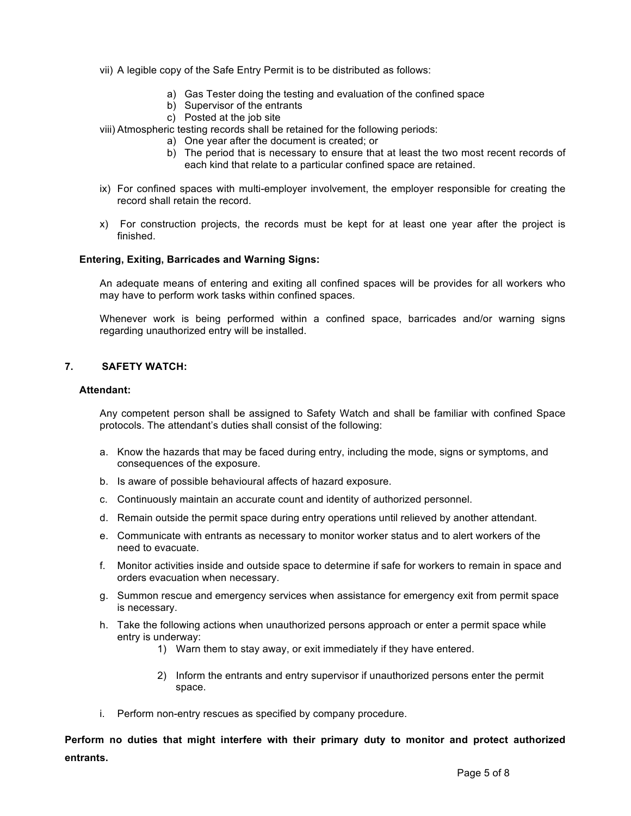- vii) A legible copy of the Safe Entry Permit is to be distributed as follows:
	- a) Gas Tester doing the testing and evaluation of the confined space
	- b) Supervisor of the entrants
	- c) Posted at the job site

viii) Atmospheric testing records shall be retained for the following periods:

- a) One year after the document is created; or
- b) The period that is necessary to ensure that at least the two most recent records of each kind that relate to a particular confined space are retained.
- ix) For confined spaces with multi-employer involvement, the employer responsible for creating the record shall retain the record.
- x) For construction projects, the records must be kept for at least one year after the project is finished.

#### **Entering, Exiting, Barricades and Warning Signs:**

An adequate means of entering and exiting all confined spaces will be provides for all workers who may have to perform work tasks within confined spaces.

Whenever work is being performed within a confined space, barricades and/or warning signs regarding unauthorized entry will be installed.

# **7. SAFETY WATCH:**

#### **Attendant:**

Any competent person shall be assigned to Safety Watch and shall be familiar with confined Space protocols. The attendant's duties shall consist of the following:

- a. Know the hazards that may be faced during entry, including the mode, signs or symptoms, and consequences of the exposure.
- b. Is aware of possible behavioural affects of hazard exposure.
- c. Continuously maintain an accurate count and identity of authorized personnel.
- d. Remain outside the permit space during entry operations until relieved by another attendant.
- e. Communicate with entrants as necessary to monitor worker status and to alert workers of the need to evacuate.
- f. Monitor activities inside and outside space to determine if safe for workers to remain in space and orders evacuation when necessary.
- g. Summon rescue and emergency services when assistance for emergency exit from permit space is necessary.
- h. Take the following actions when unauthorized persons approach or enter a permit space while entry is underway:
	- 1) Warn them to stay away, or exit immediately if they have entered.
	- 2) Inform the entrants and entry supervisor if unauthorized persons enter the permit space.
- i. Perform non-entry rescues as specified by company procedure.

**Perform no duties that might interfere with their primary duty to monitor and protect authorized entrants.**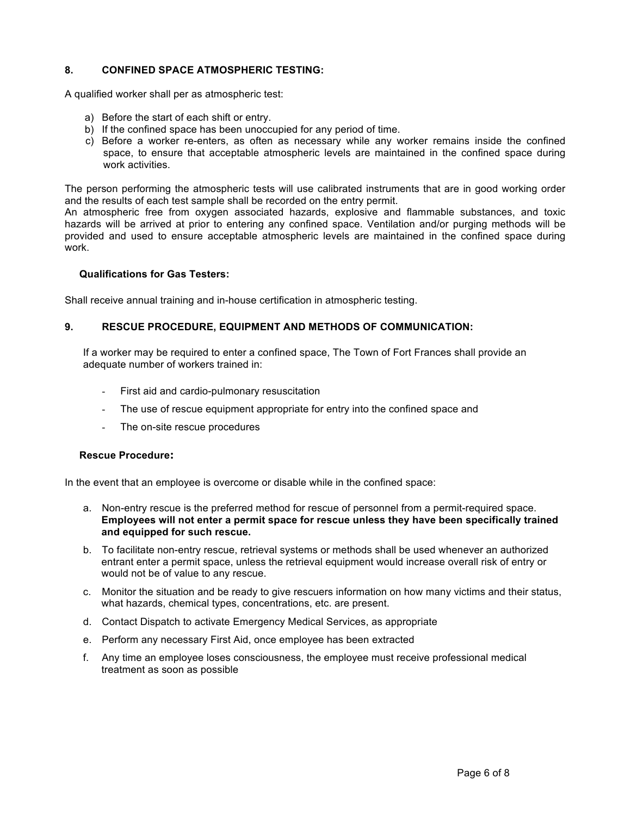# **8. CONFINED SPACE ATMOSPHERIC TESTING:**

A qualified worker shall per as atmospheric test:

- a) Before the start of each shift or entry.
- b) If the confined space has been unoccupied for any period of time.
- c) Before a worker re-enters, as often as necessary while any worker remains inside the confined space, to ensure that acceptable atmospheric levels are maintained in the confined space during work activities.

The person performing the atmospheric tests will use calibrated instruments that are in good working order and the results of each test sample shall be recorded on the entry permit.

An atmospheric free from oxygen associated hazards, explosive and flammable substances, and toxic hazards will be arrived at prior to entering any confined space. Ventilation and/or purging methods will be provided and used to ensure acceptable atmospheric levels are maintained in the confined space during work.

# **Qualifications for Gas Testers:**

Shall receive annual training and in-house certification in atmospheric testing.

#### **9. RESCUE PROCEDURE, EQUIPMENT AND METHODS OF COMMUNICATION:**

If a worker may be required to enter a confined space, The Town of Fort Frances shall provide an adequate number of workers trained in:

- First aid and cardio-pulmonary resuscitation
- The use of rescue equipment appropriate for entry into the confined space and
- The on-site rescue procedures

#### **Rescue Procedure:**

In the event that an employee is overcome or disable while in the confined space:

- a. Non-entry rescue is the preferred method for rescue of personnel from a permit-required space. **Employees will not enter a permit space for rescue unless they have been specifically trained and equipped for such rescue.**
- b. To facilitate non-entry rescue, retrieval systems or methods shall be used whenever an authorized entrant enter a permit space, unless the retrieval equipment would increase overall risk of entry or would not be of value to any rescue.
- c. Monitor the situation and be ready to give rescuers information on how many victims and their status, what hazards, chemical types, concentrations, etc. are present.
- d. Contact Dispatch to activate Emergency Medical Services, as appropriate
- e. Perform any necessary First Aid, once employee has been extracted
- f. Any time an employee loses consciousness, the employee must receive professional medical treatment as soon as possible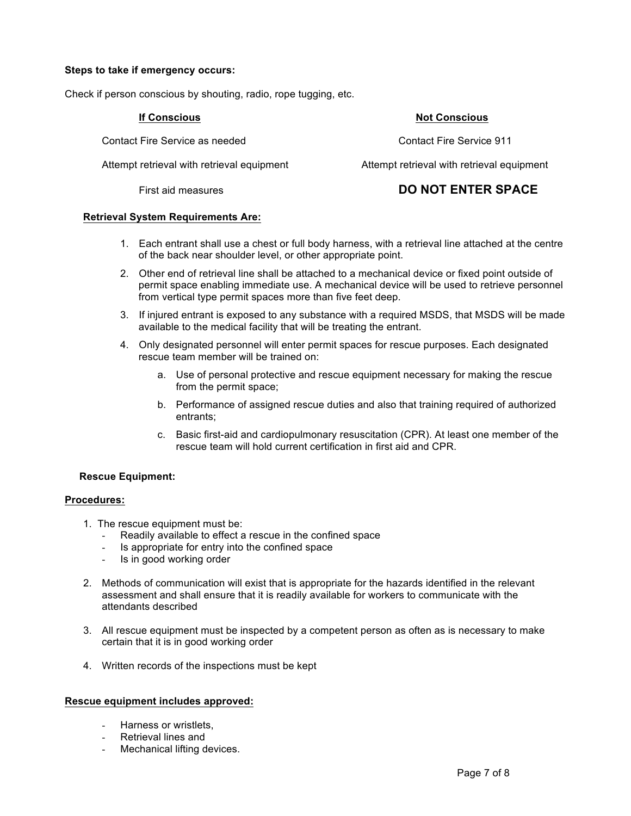# **Steps to take if emergency occurs:**

Check if person conscious by shouting, radio, rope tugging, etc.

Contact Fire Service as needed Contact Fire Service 911

Attempt retrieval with retrieval equipment Attempt retrieval with retrieval equipment

# **If Conscious Not Conscious**

# First aid measures **DO NOT ENTER SPACE**

#### **Retrieval System Requirements Are:**

- 1. Each entrant shall use a chest or full body harness, with a retrieval line attached at the centre of the back near shoulder level, or other appropriate point.
- 2. Other end of retrieval line shall be attached to a mechanical device or fixed point outside of permit space enabling immediate use. A mechanical device will be used to retrieve personnel from vertical type permit spaces more than five feet deep.
- 3. If injured entrant is exposed to any substance with a required MSDS, that MSDS will be made available to the medical facility that will be treating the entrant.
- 4. Only designated personnel will enter permit spaces for rescue purposes. Each designated rescue team member will be trained on:
	- a. Use of personal protective and rescue equipment necessary for making the rescue from the permit space;
	- b. Performance of assigned rescue duties and also that training required of authorized entrants;
	- c. Basic first-aid and cardiopulmonary resuscitation (CPR). At least one member of the rescue team will hold current certification in first aid and CPR.

# **Rescue Equipment:**

# **Procedures:**

- 1. The rescue equipment must be:
	- Readily available to effect a rescue in the confined space
	- Is appropriate for entry into the confined space
	- Is in good working order
- 2. Methods of communication will exist that is appropriate for the hazards identified in the relevant assessment and shall ensure that it is readily available for workers to communicate with the attendants described
- 3. All rescue equipment must be inspected by a competent person as often as is necessary to make certain that it is in good working order
- 4. Written records of the inspections must be kept

# **Rescue equipment includes approved:**

- Harness or wristlets,
- Retrieval lines and
- Mechanical lifting devices.